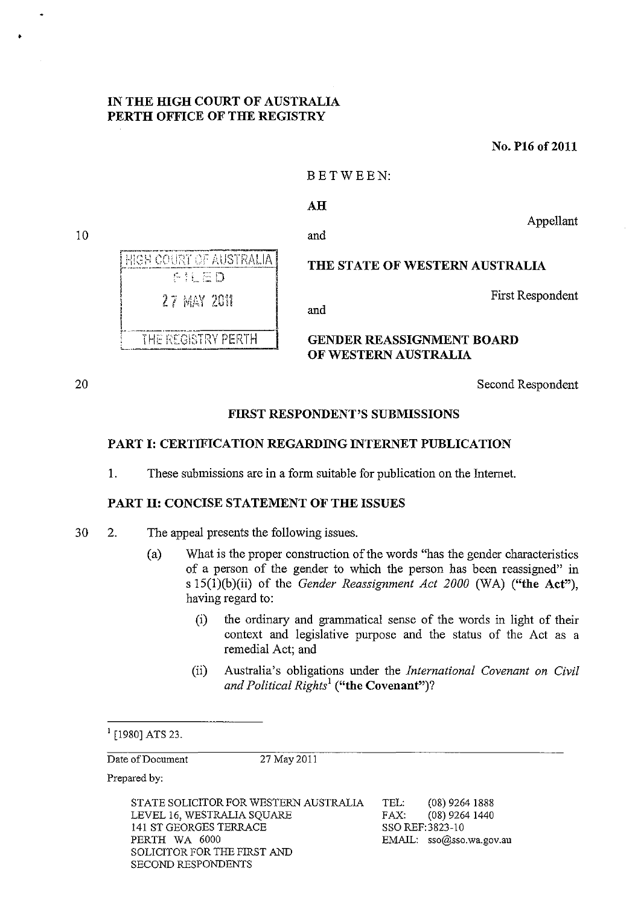# IN THE HIGH COURT OF AUSTRALIA PERTH OFFICE OF THE REGISTRY

No. P16 of 2011

#### BETWEEN:

#### AH

Appellant

and

HIGH COURT OF AUSTRALIA THE STATE OF WESTERN AUSTRALIA ENED 27 MAY 2011 and THE REGISTRY PERTH GENDER REASSIGNMENT BOARD OF WESTERN AUSTRALIA

20

10

•

Second Respondent

First Respondent

# FIRST RESPONDENT'S SUBMISSIONS

# PART I: CERTIFICATION REGARDING INTERNET PUBLICATION

1. These submissions are in a form suitable for publication on the Internet.

### PART II: CONCISE STATEMENT OF THE ISSUES

- 30 2. The appeal presents the following issues.
	- (a) What is the proper construction of the words "has the gender characteristics of a person of the gender to which the person has been reassigned" in s 15(1)(b)(ii) of the *Gender Reassignment Act 2000* (WA) ("the Act"), having regard to:
		- (i) the ordinary and grammatical sense of the words in light of their context and legislative purpose and the status of the Act as a remedial Act; and
		- (ii) Australia's obligations under the *International Covenant on Civil and Political Rights*<sup>l</sup> ("the Covenant")?

#### $1$ [1980] ATS 23.

Date of Document 27 May 2011

Prepared by:

STATE SOLICITOR FOR WESTERN AUSTRALIA LEVEL 16, WESTRALIA SQUARE 141 ST GEORGES TERRACE PERTH WA 6000 SOLICITOR FOR THE FIRST AND SECOND RESPONDENTS

TEL: (08) 9264 1888 FAX: (08) 9264 1440 SSO REF:3823-10 EMAIL: sso@sso.wa.gov.au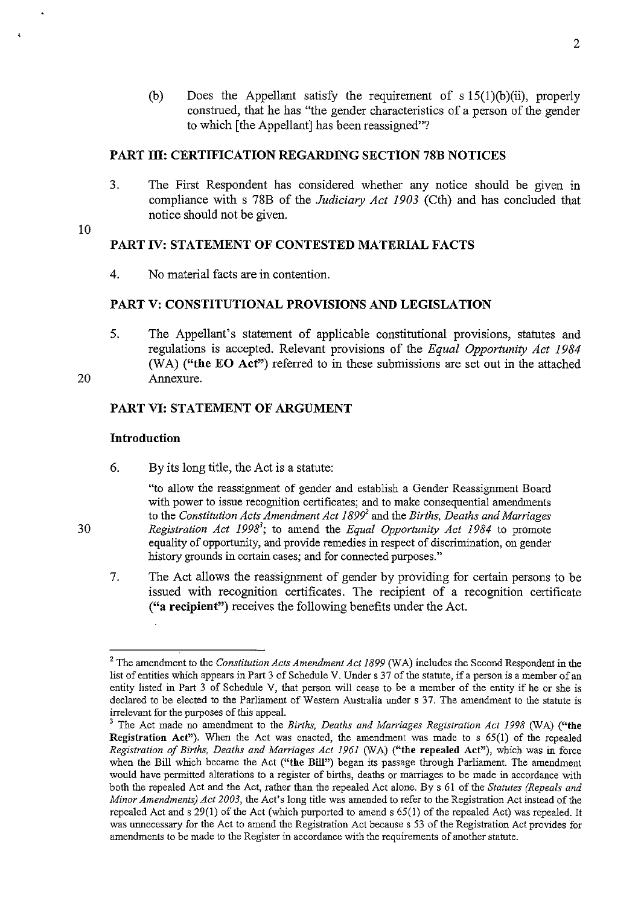(b) Does the Appellant satisfy the requirement of  $s 15(1)(b)(ii)$ , properly construed, that he has "the gender characteristics of a person of the gender to which [the Appellant] has been reassigned"?

# **PART Ill: CERTIFICATION REGARDING SECTION 78B NOTICES**

3. The First Respondent has considered whether any notice should be given in compliance with s 78B of the *Judiciary Act 1903* (Cth) and has concluded that notice should not be given.

10

 $\overline{1}$ 

# **PART IV: STATEMENT OF CONTESTED MATERIAL FACTS**

4. No material facts are in contention.

# **PART V: CONSTITUTIONAL PROVISIONS AND LEGISLATION**

5. The Appellant's statement of applicable constitutional provisions, statutes and regnlations is accepted. Relevant provisions of the *Equal Opportunity Act 1984*  (WA) ("the **EO** Act") referred to in these submissions are set out in the attached Annexure.

20

30

# **PART VI: STATEMENT OF ARGUMENT**

### **Introduction**

6. By its long title, the Act is a statute:

"to allow the reassignment of gender and establish a Gender Reassignment Board with power to issue recognition certificates; and to make consequential amendments to the *Constitution Acts Amendment Act* 1899' and the *Births, Deaths and Marriages*  Registration Act 1998<sup>3</sup>; to amend the *Equal Opportunity Act 1984* to promote equality of opportunity, and provide remedies in respect of discrimination, on gender history grounds in certain cases; and for connected purposes."

7. The Act allows the reassignment of gender by providing for certain persons to be issued with recognition certificates. The recipient of a recognition certificate ("a **recipient")** receives the following benefits under the Act.

<sup>&</sup>lt;sup>2</sup> The amendment to the *Constitution Acts Amendment Act 1899* (WA) includes the Second Respondent in the list of entities which appears in Part 3 of Schedule V. Under s 37 of the statute, if a person is a member of an entity listed in Part 3 of Schedule V, that person will cease to be a member of the entity if he or she is declared to be elected to the Parliament of Western Australia under s 37. The amendment to the statute is irrelevant for the purposes of this appeal.

<sup>&</sup>lt;sup>3</sup> The Act made no amendment to the *Births, Deaths and Marriages Registration Act 1998* (WA) ("the Registration Act"). When the Act was enacted, the amendment was made to s 65(1) of the repealed *Registration of Births, Deaths and Marriages Act* 1961 (WA) ("the repealed Act"), which was in force when the Bill which became the Act ("the Bill") began its passage through Parliament. The amendment **would have pennitted alterations to a register of births, deaths or marriages to be made in accordance with**  both the repealed Act and the Act, rather than the repealed Act alone. By s 61 of the *Statutes (Repeals and Minor Amendments) Act 2003,* the Act's long title was amended to refer to the Registration Act instead of the repealed Act and s 29(1) of the Act (which purported to amend s 65(1) of the repealed Act) was repealed. It was unnecessary for the Act to amend the Registration Act because s 53 of the Registration Act provides for **amendments to be made to the Register in accordance with the requirements of another statute.**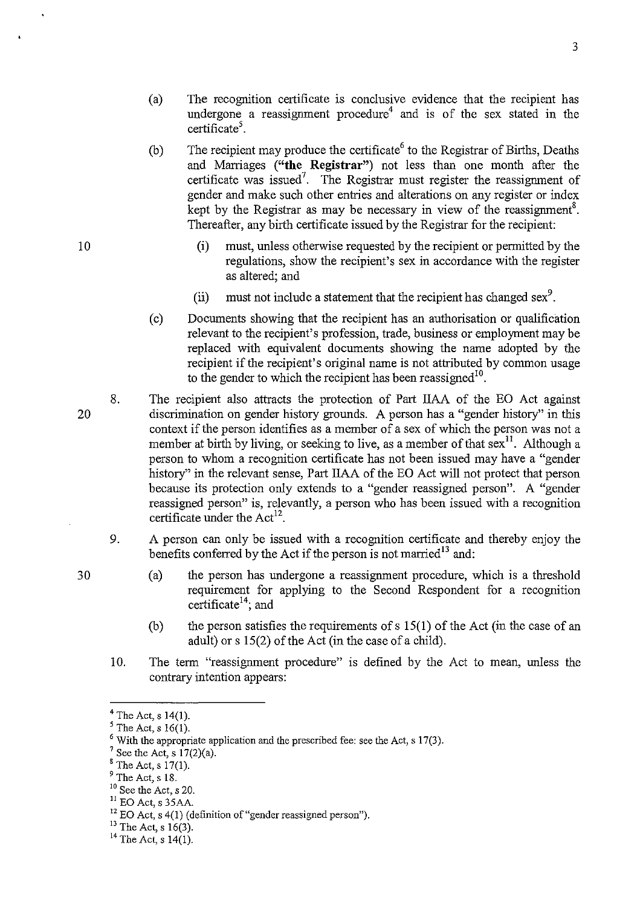- (a) The recognition certificate is conclusive evidence that the recipient has undergone a reassignment procedure<sup>4</sup> and is of the sex stated in the certificate<sup>5</sup>.
- (b) The recipient may produce the certificate<sup>6</sup> to the Registrar of Births, Deaths and Marriages **("the Registrar")** not less than one month after the certificate was issued<sup>7</sup>. The Registrar must register the reassignment of gender and make such other entries and alterations on any register or index kept by the Registrar as may be necessary in view of the reassignment<sup>8</sup>. Thereafter, any birth certificate issued by the Registrar for the recipient:
	- (i) must, unless otherwise requested by the recipient or permitted by the regulations, show the recipient's sex in accordance with the register as altered; and
	- (ii) must not include a statement that the recipient has changed sex<sup>9</sup>.
- ( c) Documents showing that the recipient has an authorisation or qualification relevant to the recipient's profession, trade, business or employment may be replaced with equivalent documents showing the name adopted by the recipient if the recipient's original name is not attributed by common usage to the gender to which the recipient has been reassigned<sup>10</sup>.
- 8. The recipient also attracts the protection of Part IIAA of the EO Act against discrimination on gender history grounds. A person has a "gender history" in this context if the person identifies as a member of a sex of which the person was not a member at birth by living, or seeking to live, as a member of that sex<sup>11</sup>. Although a person to whom a recognition certificate has not been issued may have a "gender history" in the relevant sense, Part IIAA of the EO Act will not protect that person because its protection only extends to a "gender reassigned person". A "gender reassigned person" is, relevantly, a person who has been issued with a recognition certificate under the  $Act^{12}$ .
- 9. A person can only be issued with a recognition certificate and thereby enjoy the benefits conferred by the Act if the person is not married<sup>13</sup> and:
	- (a) the person has undergone a reassignment procedure, which is a threshold requirement for applying to the Second Respondent for a recognition certificate<sup>14</sup>; and
	- (b) the person satisfies the requirements of s  $15(1)$  of the Act (in the case of an adult) or s 15(2) of the Act (in the case of a child).
- 10. The term "reassignment procedure" is defined by the Act to mean, unless the contrary intention appears:

 $^7$  See the Act, s 17(2)(a).

- 10 See the Act, s 20.
- $11$  EO Act, s 35AA.

 $13$  The Act, s 16(3).

30

 $4$  The Act, s 14(1).

 $<sup>5</sup>$  The Act, s 16(1).</sup>

 $6$  With the appropriate application and the prescribed fee: see the Act, s 17(3).

 $8$  The Act, s 17(1).

 $<sup>9</sup>$  The Act, s 18.</sup>

<sup>&</sup>lt;sup>12</sup> EO Act, s 4(1) (definition of "gender reassigned person").

 $14$  The Act, s 14(1).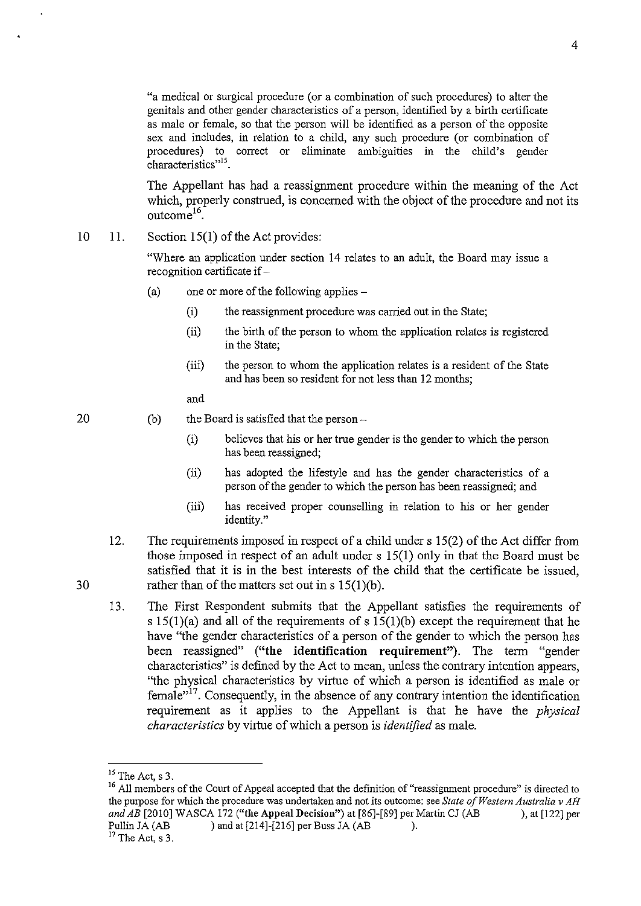"a medical or surgical procedure (or a combination of such procedures) to alter the genitals and other gender characteristics of a person, identified by a birth certificate as male or female, so that the person will be identified as a person of the opposite sex and includes, in relation to a child, any such procedure (or combination of procedures) to correct or eliminate ambiguities in the child's gender characteristics<sup>"15</sup>.

The Appellant has had a reassignment procedure within the meaning of the Act which, properly construed, is concerned with the object of the procedure and not its outcome<sup>16</sup>

10 11. Section  $15(1)$  of the Act provides:

> "Where an application under section 14 relates to an adult, the Board may issue a recognition certificate if -

- (a) one or more of the following applies-
	- (i) the reassignment procedure was carried out in the State;
	- (ii) the birth of the person to whom the application relates is registered in the State;
	- (iii) the person to whom the application relates is a resident of the State and has been so resident for not less than 12 months;

and

20

30

(b) the Board is satisfied that the person  $-$ 

- (i) believes that his or her true gender is the gender to which the person has been reassigned;
- (ii) has adopted the lifestyle and has the gender characteristics of a person of the gender to which the person has been reassigned; and
- (iii) has received proper counselling in relation to his or her gender identity."
- 12. The requirements imposed in respect of a child under  $s$  15(2) of the Act differ from those imposed in respect of an adult under s 15(1) only in that the Board must be satisfied that it is in the best interests of the child that the certificate be issued, rather than of the matters set out in s 15(1)(b).
- 13. The First Respondent submits that the Appellant satisfies the requirements of s  $15(1)(a)$  and all of the requirements of s  $15(1)(b)$  except the requirement that he have "the gender characteristics of a person of the gender to which the person has been reassigned" ("the identification requirement"). The term "gender characteristics" is defined by the Act to mean, unless the contrary intention appears, "the physical characteristics by virtue of which a person is identified as male or female,,17. Consequently, in the absence of any contrary intention the identification requirement as it applies to the Appellant is that he have the *physical characteristics* by virtue of which a person is *identified* as male.

 $15$  The Act, s 3.

<sup>&</sup>lt;sup>16</sup> All members of the Court of Appeal accepted that the definition of "reassignment procedure" is directed to **the purpose for which the procedure was undertaken and not its outcome: see** *State of Western Australia* **v** *AH*  and  $\overline{AB}$  [2010] WASCA 172 ("the Appeal Decision") at [86]-[89] per Martin CJ (AB ), at [122] per Pullin JA (AB ) and at [214]-[216] per Buss JA (AB ).

 $17$  The Act, s 3.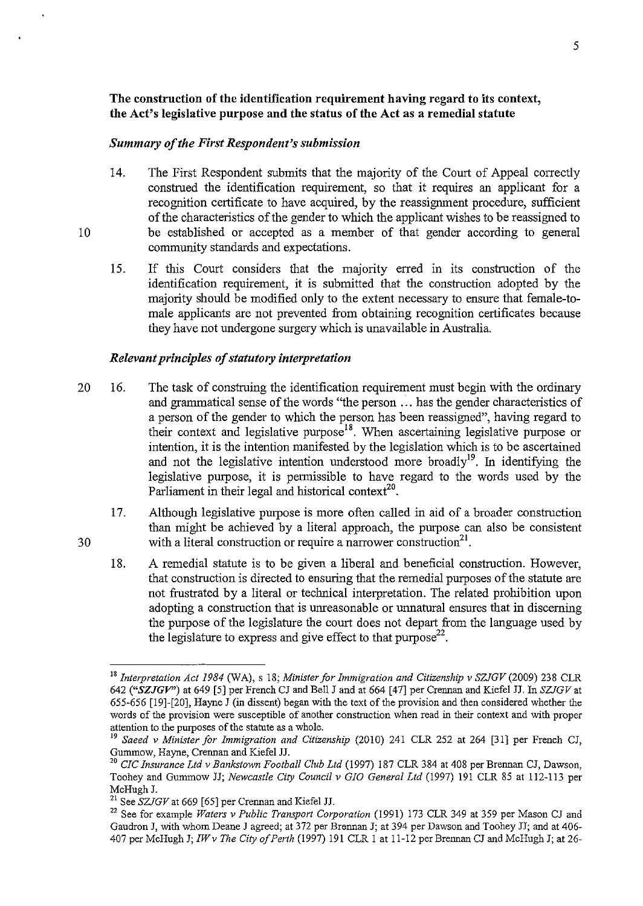# The construction of the identification requirement having regard to its context, the Act's legislative purpose and the status of the Act as a remedial statute

#### *Summary of the First Respondent's submission*

- 14. The First Respondent submits that the majority of the Court of Appeal correctly construed the identification requirement, so that it requires an applicant for a recognition certificate to have acquired, by the reassignment procedure, sufficient of the characteristics of the gender to which the applicant wishes to be reassigned to be established or accepted as a member of that gender according to general community standards and expectations.
- 15. If this Court considers that the majority erred in its construction of the identification requirement, it is submitted that the construction adopted by the majority should be modified only to the extent necessary to ensure that female-tomale applicants are not prevented from obtaining recognition certificates because they have not undergone surgery which is unavailable in Australia.

#### *Relevant principles of statutory interpretation*

- 20 16. The task of construing the identification requirement must begin with the ordinary and grammatical sense of the words "the person ... has the gender characteristics of a person of the gender to which the person has been reassigned", having regard to their context and legislative purpose<sup>18</sup>. When ascertaining legislative purpose or intention, it is the intention manifested by the legislation which is to be ascertained and not the legislative intention understood more broadly<sup>19</sup>. In identifying the legislative purpose, it is permissible to have regard to the words used by the Parliament in their legal and historical context<sup>20</sup>.
	- 17. Although legislative purpose is more often called in aid of a broader construction than might be achieved by a literal approach, the purpose can also be consistent with a literal construction or require a narrower construction<sup>21</sup>.
	- 18. A remedial statute is to be given a liberal and beneficial construction. However, that construction is directed to ensuring that the remedial purposes of the statute are not frustrated by a literal or technical interpretation. The related prohibition upon adopting a construction that is unreasonable or unnatural ensures that in discerning the purpose of the legislature the court does not depart from the language used by the legislature to express and give effect to that  $purpose<sup>22</sup>$ .

30

*<sup>18</sup> Interpretation Act* 1984 *(W* A), s 18; *Minister for Immigration and Citizenship* v *SZJGV* (2009) 238 CLR *642 ("SZJGV")* at 649 [5] per French CJ and Bell J and at 664 [47] per Crennan and Kiefel JJ. In *SZJGVat*  655-656 [19]-[20], Hayne J (in dissent) began with the text of the provision and then considered whether the **words of the provision were susceptible of another construction when read in their context and with proper**  attention to the purposes of the statute as a whole.

<sup>19</sup>*Saeed* v *Minister for Immigration and Citizenship* (2010) 241 CLR 252 at 264 [31] per French CJ, Gummow, Hayne, Crennan and Kiefel JJ.

<sup>20</sup>*CIC Insurance Ltd* v *Bankstown Football Club Ltd* (1997) 187 CLR 384 at 408 per Brennan CJ, Dawson, Toohey and Gummow JJ; *Newcastle City Council* v *GIO General Ltd* (1997) 191 CLR 85 at 112-113 per McHugh J.

<sup>21</sup> See *SZJGVat* 669 [65] per Crennan and Kiefel JJ.

<sup>&</sup>lt;sup>22</sup> See for example *Waters v Public Transport Corporation* (1991) 173 CLR 349 at 359 per Mason CJ and Gaudron J, with whom Deane J agreed; at 372 per Brennan J; at 394 per Dawson and Toohey JJ; and at 406- 407 per McHugh *J;IWv The City of Perth* (1997) 191 CLR 1 at 11-12 per Brennan CJ and McHugh J; at 26-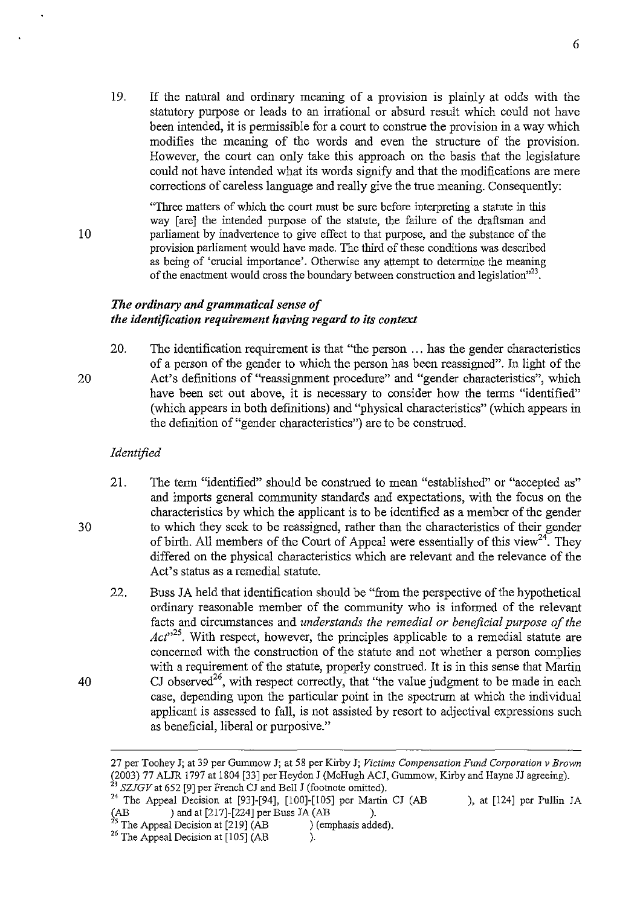- 19. If the natural and ordinary meaning of a provision is plainly at odds with the statutory purpose or leads to an irrational or absurd result which could not have been intended, it is permissible for a court to construe the provision in a way which modifies the meaning of the words and even the structure of the provision. However, the court can only take this approach on the basis that the legislature could not have intended what its words signify and that the modifications are mere corrections of careless language and really give the true meaning. Consequently:
	- "Three matters of which the court must be sure before interpreting a statute in this way [are] the intended purpose of the statute, the failure of the draftsman and parliament by inadvertence to give effect to that purpose, and the substance of the provision parliament would have made. The third of these conditions was described as being of 'crucial importance'. Otherwise any attempt to determine the meaning of the enactment would cross the boundary between construction and legislation $^{23}$ .

### *The ordinary and grammatical sense of the identification requirement having regard to its context*

20. The identification requirement is that "the person ... has the gender characteristics of a person of the gender to which the person has been reassigned". In light of the Act's definitions of "reassignment procedure" and "gender characteristics", which have been set out above, it is necessary to consider how the terms "identified" (which appears in both definitions) and "physical characteristics" (which appears in the definition of "gender characteristics") are to be construed.

#### *Identified*

10

20

30

- 21. The term "identified" should be construed to mean "established" or "accepted as" and imports general community standards and expectations, with the focus on the characteristics by which the applicant is to be identified as a member of the gender to which they seek to be reassigned, rather than the characteristics of their gender of birth. All members of the Court of Appeal were essentially of this view<sup>24</sup>. They differed on the physical characteristics which are relevant and the relevance of the Act's status as a remedial statute.
- 22. Buss JA held that identification should be "from the perspective of the hypothetical ordinary reasonable member of the community who is informed of the relevant facts and circumstances and *understands the remedial or beneficial purpose of the Act*<sup>325</sup>. With respect, however, the principles applicable to a remedial statute are concerned with the construction of the statute and not whether a person complies with a requirement of the statute, properly construed. It is in this sense that Martin CJ observed<sup>26</sup>, with respect correctly, that "the value judgment to be made in each case, depending upon the particular point in the spectrum at which the individual applicant is assessed to fall, is not assisted by resort to adjectival expressions such as beneficial, liberal or purposive."

<sup>27</sup> per Toohey J; at 39 per Gummow J; at 58 per Kirby J; *Victims Compensation Fund Corporation v Brown*  (2003) 77 ALJR 1797 at 1804 [33] per Heydon J (McHugh ACJ, Gummow, Kirby and Hayne JJ agreeing). <sup>23</sup>*SZJGVat* 652 [9] per French CJ and Bell J (footnote omitted).

<sup>&</sup>lt;sup>24</sup> The Appeal Decision at [93]-[94], [100]-[105] per Martin CJ (AB ), at [124] per Pullin JA (AB ) and at [217]-[224] per Buss JA (AB ). (AB ) and at [217]-[224] per Buss JA (AB ).<br><sup>25</sup> The Appeal Decision at [219] (AB ) (emphasis added).

 $26$  The Appeal Decision at [105] (AB ).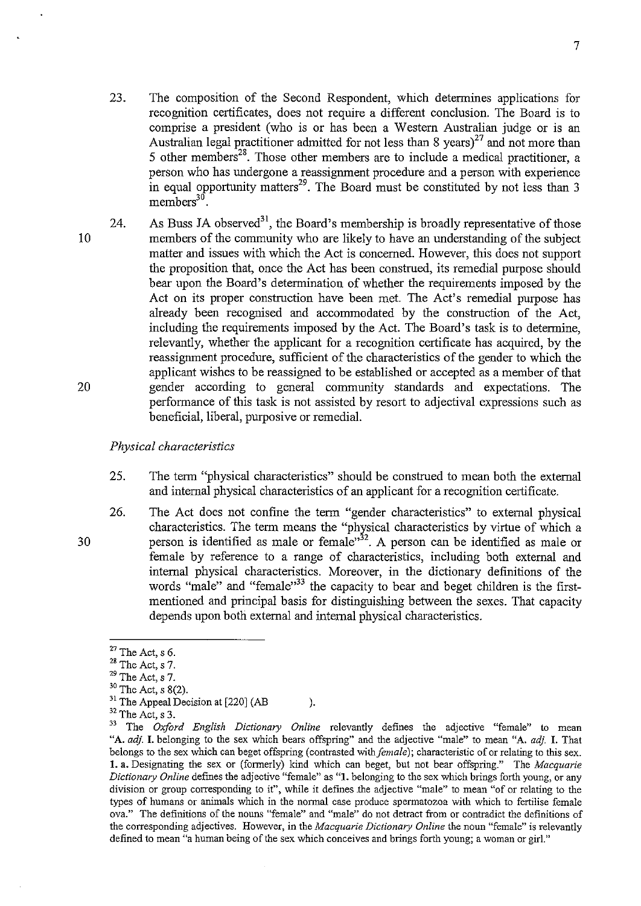- 23. The composition of the Second Respondent, which determines applications for reco gnition certificates, does not require a different conclusion. The Board is to comprise a president (who is or has been a Western Australian judge or is an Australian legal practitioner admitted for not less than  $8 \text{ years}$   $^{27}$  and not more than 5 other members<sup>28</sup>. Those other members are to include a medical practitioner, a person who has undergone a reassignment procedure and a person with experience in equal opportunity matters<sup>29</sup>. The Board must be constituted by not less than 3  $m$ embers<sup>30</sup>.
- 20 24. As Buss JA observed<sup>31</sup>, the Board's membership is broadly representative of those members of the community who are likely to have an understanding of the subject matter and issues with which the Act is concerned. However, this does not support the proposition that, once the Act has been construed, its remedial purpose should bear upon the Board's determination of whether the requirements imposed by the Act on its proper construction have been met. The Act's remedial purpose has already been recognised and accommodated by the construction of the Act, including the requirements imposed by the Act. The Board's task is to determine, relevantly, whether the applicant for a recognition certificate has acquired, by the reassignment procedure, sufficient of the characteristics of the gender to which the applicant wishes to be reassigned to be established or accepted as a member of that gender according to general community standards and expectations. The performance of this task is not assisted by resort to adjectival expressions such as beneficial, liberal, purposive or remedial.

#### *Physical characteristics*

- 25. The term "physical characteristics" should be construed to mean both the external and internal physical characteristics of an applicant for a recognition certificate.
- 26. The Act does not confine the term "gender characteristics" to external physical characteristics. The term means the "physical characteristics by virtue of which a person is identified as male or female<sup>332</sup>. A person can be identified as male or female by reference to a range of characteristics, including both external and internal physical characteristics. Moreover, in the dictionary definitions of the words "male" and "female"<sup>33</sup> the capacity to bear and beget children is the firstmentioned and principal basis for distinguishing between the sexes. That capacity depends upon both external and internal physical characteristics.

10

 $27$  The Act, s 6.

 $28$  The Act, s 7.

 $29$  The Act, s 7.

 $30$  The Act, s 8(2).

<sup>&</sup>lt;sup>31</sup> The Appeal Decision at  $[220]$  (AB ).

 $32$  The Act, s 3.<br> $33$  The Oxford

<sup>33</sup> The *Oxford English Dictionary Online* relevantly defines the adjective "female" to mean "A. *adj.* I. belonging to the sex which bears offspring" and the adjective "male" to mean "A. *ad}.* I. That belongs to the sex which can beget offspring (contrasted with *female);* characteristic of or relating to this sex. 1. a. Designating the sex or (formerly) kind which can beget, but not bear offspring." The *Macquarie Dictionary Online* defmes the adjective "female" as "1. belonging to the sex which brings forth young, or any **division or group corresponding to it", while it defines .the adjective "male" to mean "of or relating to the types of humans or animals which in the nonnal case produce spennatozoa with which to fertilise female ova." The definitions of the nouns "female" and "male" do not detract from or contradict the definitions of the corresponding adjectives. However, in the** *Macquarie Dictionary Online* **the noun "female" is relevantly defined to mean "a human being of the sex which conceives and brings forth young; a woman or girl."**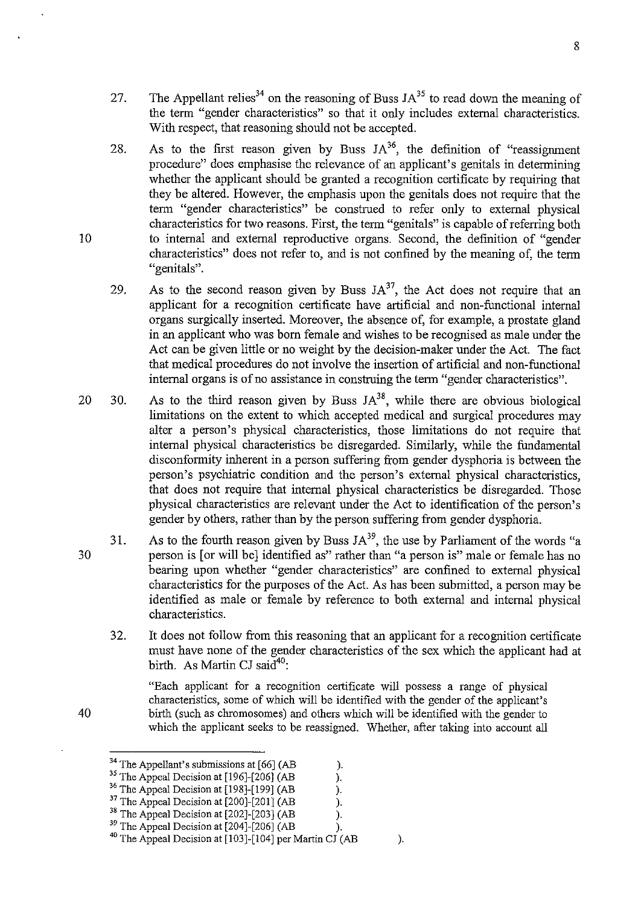- 27. The Appellant relies<sup>34</sup> on the reasoning of Buss  $JA^{35}$  to read down the meaning of the term "gender characteristics" so that it only includes external characteristics. With respect, that reasoning should not be accepted.
- 28. As to the first reason given by Buss  $JA^{36}$ , the definition of "reassignment" procedure" does emphasise the relevance of an applicant's genitals in determining whether the applicant should be granted a recognition certificate by requiring that they be altered. However, the emphasis upon the genitals does not require that the term "gender characteristics" be construed to refer only to external physical characteristics for two reasons. First, the term "genitals" is capable of referring both to internal and external reproductive organs. Second, the definition of "gender characteristics" does not refer to, and is not confined by the meaning of, the term "genitals".
- 29. As to the second reason given by Buss  $JA^{37}$ , the Act does not require that an applicant for a recognition certificate have artificial and non-functional internal organs surgically inserted. Moreover, the absence of, for example, a prostate gland in an applicant who was born female and wishes to be recognised as male under the Act can be given little or no weight by the decision-maker under the Act. The fact that medical procedures do not involve the insertion of artificial and non-functional internal organs is of no assistance in construing the term "gender characteristics".
- 20 30. As to the third reason given by Buss  $JA^{38}$ , while there are obvious biological limitations on the extent to which accepted medical and surgical procedures may alter a person's physical characteristics, those limitations do not require that internal physical characteristics be disregarded. Similarly, while the fundamental disconformity inherent in a person suffering from gender dysphoria is between the person's psychiatric condition and the person's external physical characteristics, that does not require that internal physical characteristics be disregarded. Those physical characteristics are relevant under the Act to identification of the person's gender by others, rather than by the person suffering from gender dysphoria.
	- 31. As to the fourth reason given by Buss  $JA^{39}$ , the use by Parliament of the words "a person is [or will bel identified as" rather than "a person is" male or female has no bearing upon whether "gender characteristics" are confined to external physical characteristics for the purposes of the Act. As has been submitted, a person may be identified as male or female by reference to both external and internal physical characteristics.
		- 32. It does not follow from this reasoning that an applicant for a recognition certificate must have none of the gender characteristics of the sex which the applicant had at birth. As Martin CJ said $40$ :

"Each applicant for a recognition certificate will possess a range of physical characteristics, some of which will be identified with the gender of the applicant's birth (such as chromosomes) and others which will be identified with the gender to which the applicant seeks to be reassigned. Whether, after taking into account all

- <sup>35</sup> The Appeal Decision at [196]-[206] (AB <sup>36</sup> The Appeal Decision at [198]-[199] (AB ).<br><sup>37</sup> The Appeal Decision at [200]-[201] (AB ). <sup>37</sup> The Appeal Decision at  $[200]$ - $[201]$  (AB ).<br><sup>38</sup> The Appeal Decision at  $[202]$ - $[203]$  (AB ).
- $38$  The Appeal Decision at [202]-[203] (AB

10

30

<sup>&</sup>lt;sup>34</sup> The Appellant's submissions at  $[66]$  (AB ).<br><sup>35</sup> The Appeal Decision at  $[196]$ - $[206]$  (AB ).

<sup>&</sup>lt;sup>36</sup> The Appeal Decision at [198]-[199] (AB

 $39$  The Appeal Decision at [204]-[206] (AB ).

 $^{40}$  The Appeal Decision at [103]-[104] per Martin CJ (AB ).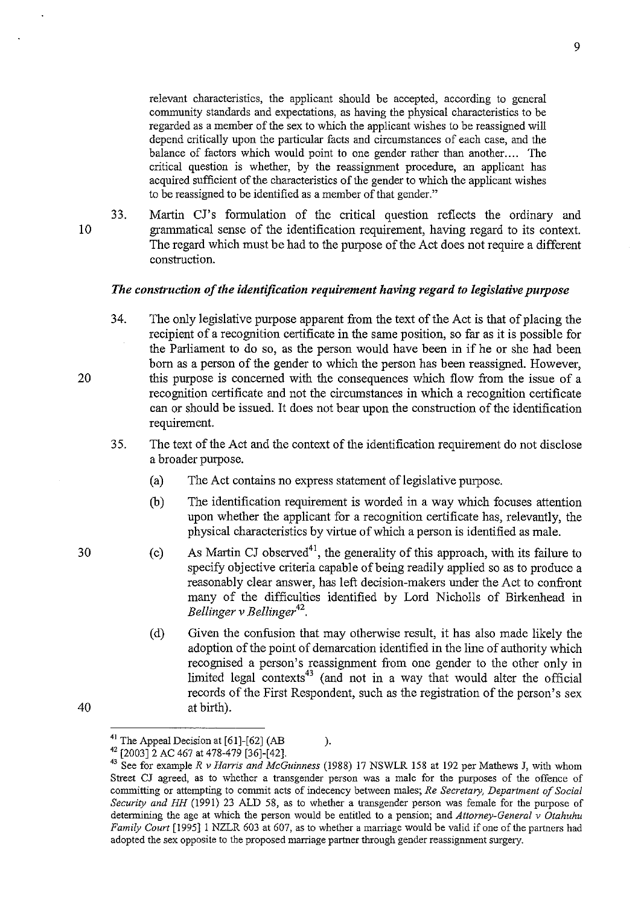relevant characteristics, the applicant should be accepted, according to general community standards and expectations, as having the physical characteristics to be regarded as a member of the sex to which the applicant wishes to be reassigned will depend critically upon the particular facts and circumstances of each case, and the balance of factors which would point to one gender rather than another.... The critical question is whether, by the reassigmnent procedure, an applicant has acquired sufficient of the characteristics of the gender to which the applicant wishes to be reassigned to be identified as a member of that gender."

10

33. Martin Cl's formulation of the critical question reflects the ordinary and grammatical sense of the identification requirement, having regard to its context. The regard which must be had to the purpose of the Act does not require a different construction.

#### *The construction of the identification requirement having regard to legislative purpose*

- 34. The only legislative purpose apparent from the text of the Act is that of placing the recipient of a recognition certificate in the same position, so far as it is possible for the Parliament to do so, as the person would have been in if he or she had been born as a person of the gender to which the person has been reassigned. However, this purpose is concerned with the consequences which flow from the issue of a recognition certificate and not the circumstances in which a recognition certificate can or should be issued. It does not bear upon the construction of the identification requirement.
- 35. The text of the Act and the context of the identification requirement do not disclose a broader purpose.
	- (a) The Act contains no express statement of legislative purpose.
	- Cb) The identification requirement is worded in a way which focuses attention upon whether the applicant for a recognition certificate has, relevantly, the physical characteristics by virtue of which a person is identified as male.
	- (c) As Martin CJ observed<sup>41</sup>, the generality of this approach, with its failure to specify objective criteria capable of being readily applied so as to produce a reasonably clear answer, has left decision-makers under the Act to confront many of the difficulties identified by Lord Nicholls of Birkenhead in *Bellinger* v *Bellinger 42.*
	- (d) Given the confusion that may otherwise result, it has also made likely the adoption of the point of demarcation identified in the line of authority which recognised a person's reassignment from one gender to the other only in limited legal contexts<sup>43</sup> (and not in a way that would alter the official records of the First Respondent, such as the registration of the person's sex at birth).

20

30

<sup>&</sup>lt;sup>41</sup> The Appeal Decision at  $[61]$ - $[62]$  (AB ).

<sup>42 [2003]2</sup> AC 467 at 478-479 [36]-[42].

<sup>43</sup> See for example *R v Harris and McGuinness* (1988) 17 NSWLR 158 at 192 per Mathews *l,* with whom Street *Cl* agreed, as to whether a transgender person was a male for the purposes of the offence of **committing or attempting to commit acts of indecency between males;** *Re Secretary, Department of Social Security and HH* (1991) 23 ALD 58, as to whether a transgender person was female for the purpose of determining the age at which the person would be entitled to a pension; and *Attorney-General v Otahuhu Family Court* [1995]1 NZLR 603 at 607, as to whether a marriage would be valid if one of the partners had adopted the sex opposite to the proposed marriage partner through gender reassigmnent surgery.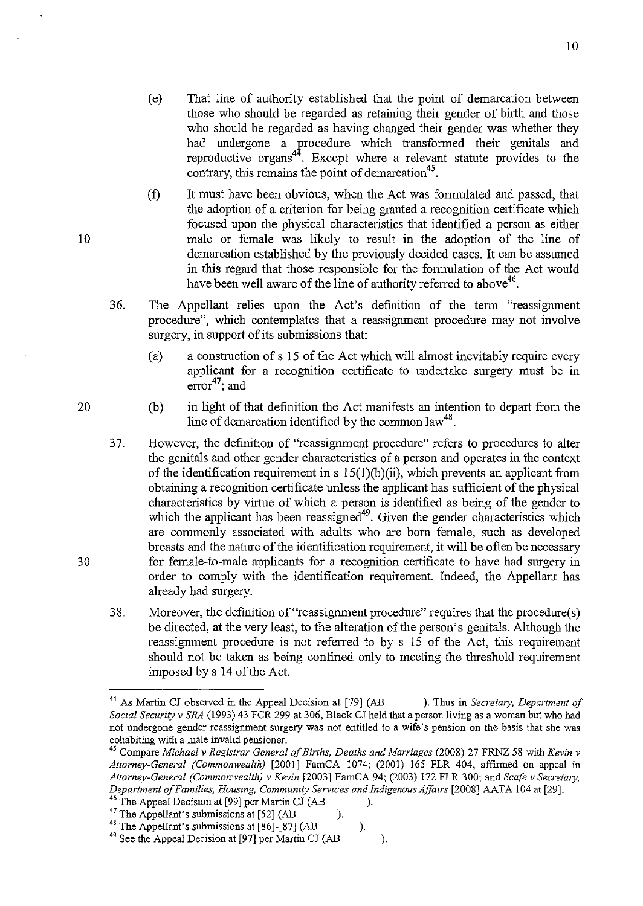- (e) That line of authority established that the point of demarcation between those who should be regarded as retaining their gender of birth and those who should be regarded as having changed their gender was whether they had undergone a procedure which transformed their genitals and reproductive organs<sup>44</sup>. Except where a relevant statute provides to the contrary, this remains the point of demarcation<sup>45</sup>.
- (f) It must have been obvious, when the Act was formulated and passed, that the adoption of a criterion for being granted a recognition certificate which focused upon the physical characteristics that identified a person as either male or female was likely to result in the adoption of the line of demarcation established by the previously decided cases. It can be assumed in this regard that those responsible for the formulation of the Act would have been well aware of the line of authority referred to above<sup>46</sup>.
- 36. The Appellant relies upon the Act's definition of the term "reassignment procedure", which contemplates that a reassignment procedure may not involve surgery, in support of its submissions that:
	- (a) a construction of s 15 of the Act which will almost inevitably require every applicant for a recognition certificate to undertake surgery must be in  $error<sup>47</sup>$ ; and
	- (b) in light of that definition the Act manifests an intention to depart from the line of demarcation identified by the common law<sup>48</sup>.
- 37. However, the definition of "reassignment procedure" refers to procedures to alter the genitals and other gender characteristics of a person and operates in the context of the identification requirement in s  $15(1)(b)(ii)$ , which prevents an applicant from obtaining a recognition certificate unless the applicant has sufficient of the physical characteristics by virtue of which a person is identified as being of the gender to which the applicant has been reassigned<sup>49</sup>. Given the gender characteristics which are commonly associated with adults who are born female, such as developed breasts and the nature of the identification requirement, it will be often be necessary for female-to-male applicants for a recognition certificate to have had surgery in order to comply with the identification requirement. Indeed, the Appellant has already had surgery.
- 38. Moreover, the definition of ''reassignment procedure" requires that the procedure(s) be directed, at the very least, to the alteration of the person's genitals. Although the reassignment procedure is not referred to by s 15 of the Act, this requirement should not be taken as being confined only to meeting the threshold requirement imposed by s 14 of the Act.

- <sup>46</sup> The Appeal Decision at [99] per Martin CJ (AB ).
- <sup>47</sup> The Appellant's submissions at [52] (AB ).
- <sup>48</sup> The Appellant's submissions at  $[86]$ - $[87]$  (AB ).

10

20

*<sup>44</sup> As* Martin CJ observed in the Appeal Decision at [79] (AB ). Thus in *Secretary, Department of Social Security* v *SRA* (1993) 43 FCR 299 at 306, Black CJ held that a person living as a woman but who had **not undergone gender reassignment surgery was not entitled to a wife's pension on the basis that she was cohabiting with a male invalid pensioner.** 

<sup>45</sup> Compare *Michael v Registrar General of Births, Deaths and Marriages* (2008) 27 FRNZ 58 with *Kevin* v *Attorney-General (Commonwealth)* [2001] FamCA 1074; (2001) 165 FLR 404, affirmed on appeal in *Attorney-General (Commonwealth)* v *Kevin* [2003] FamCA 94; (2003) 172 FLR 300; and *Scafe* v *Secretary, Department of Families, Housing, Community Services and Indigenous Affairs* [2008] AAT A 104 at [29].

<sup>&</sup>lt;sup>49</sup> See the Appeal Decision at [97] per Martin CJ (AB ).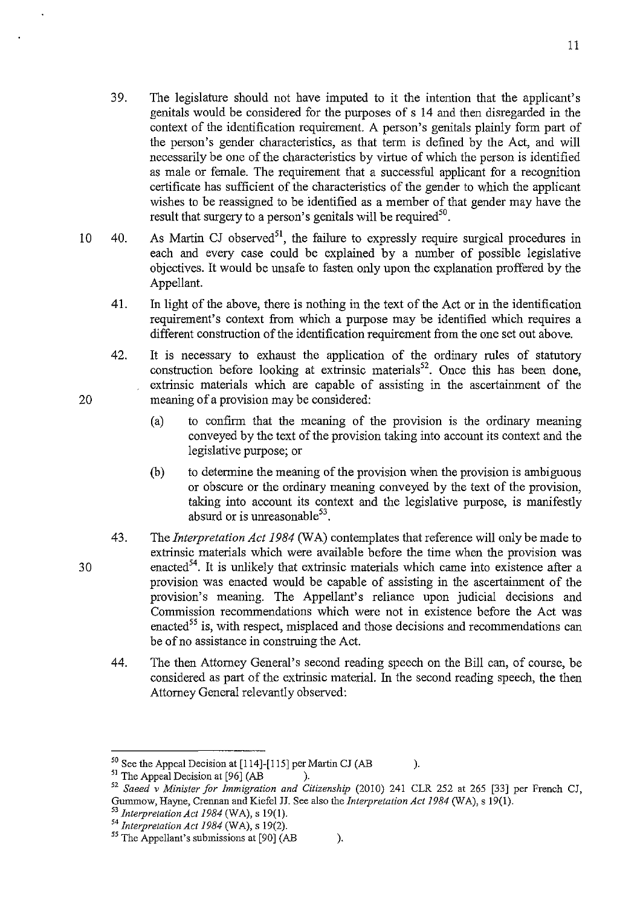- 39. The legislature should not have imputed to it the intention that the applicant's genitals would be considered for the purposes of s 14 and then disregarded in the context of the identification requirement. A person's genitals plainly form part of the person's gender characteristics, as that term is defined by the Act, and will necessarily be one of the characteristics by virtue of which the person is identified as male or female. The requirement that a successful applicant for a recognition certificate has sufficient of the characteristics of the gender to which the applicant wishes to be reassigned to be identified as a member of that gender may have the result that surgery to a person's genitals will be required<sup>50</sup>.
- 10 40. As Martin CJ observed<sup>51</sup>, the failure to expressly require surgical procedures in each and every case could be explained by a number of possible legislative objectives. It would be unsafe to fasten only upon the explanation proffered by the Appellant.
	- 41. In light of the above, there is nothing in the text of the Act or in the identification requirement's context from which a purpose may be identified which requires a different construction of the identification requirement from the one set out above.
	- 42. It is necessary to exhaust the application of the ordinary rules of statutory construction before looking at extrinsic materials<sup>52</sup>. Once this has been done, extrinsic materials which are capable of assisting in the ascertainment of the meaning of a provision may be considered:
		- (a) to confirm that the meaning of the provision is the ordinary meaning conveyed by the text of the provision taking into account its context and the legislative purpose; or
		- (b) to determine the meaning of the provision when the provision is ambiguous or obscure or the ordinary meaning conveyed by the text of the provision, taking into account its context and the legislative purpose, is manifestly absurd or is unreasonable $53$ .
	- 43. The *Interpretation Act 1984* (WA) contemplates that reference will only be made to extrinsic materials which were available before the time when the provision was enacted<sup>54</sup>. It is unlikely that extrinsic materials which came into existence after a provision was enacted would be capable of assisting in the ascertainment of the provision's meaning. The Appellant's reliance upon judicial decisions and Commission recommendations which were not in existence before the Act was enacted<sup>55</sup> is, with respect, misplaced and those decisions and recommendations can be of no assistance in construing the Act.
		- 44. The then Attorney General's second reading speech on the Bill can, of course, be considered as part of the extrinsic material. In the second reading speech, the then Attorney General relevantly observed:

- <sup>52</sup> Saeed v Minister for *Immigration and Citizenship* (2010) 241 CLR 252 at 265 [33] per French CJ, Gummow, Hayne, Crennan and Kiefel JJ. See also the *Interpretation Act* 1984 (WA), s 19(1).
- <sup>53</sup>*Interpretation Act* 1984 (WA), s 19(1).

30

 $50$  See the Appeal Decision at [114]-[115] per Martin CJ (AB ).

<sup>&</sup>lt;sup>51</sup> The Appeal Decision at [96] (AB ).

<sup>54</sup>*Interpretation Act 1984* (WA), s 19(2).

 $<sup>55</sup>$  The Appellant's submissions at [90] (AB ).</sup>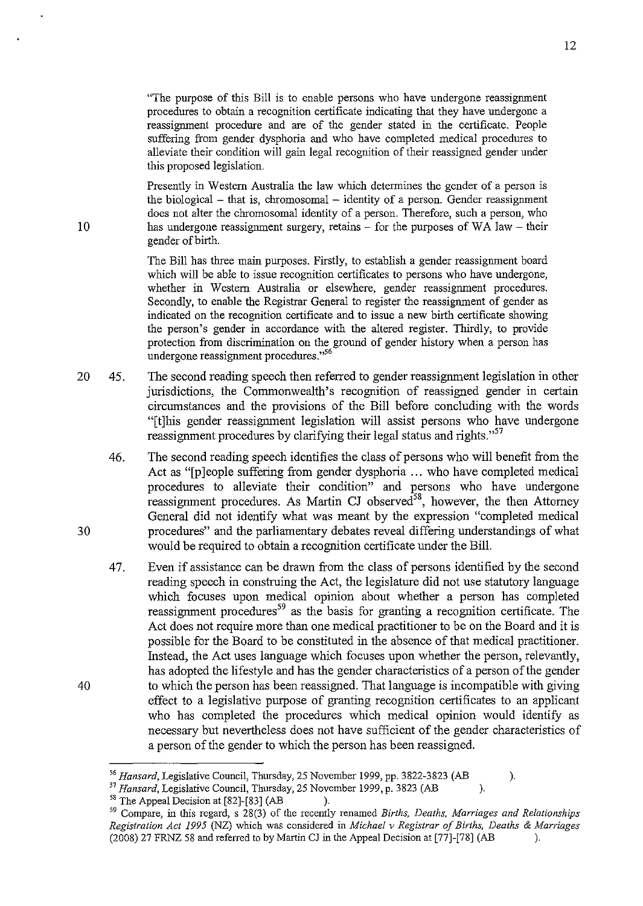"The purpose of this Bill is to enable persons who have undergone reassignment procedures to obtain a recognition certificate indicating that they have undergone a reassignment procedure and are of the gender stated in the certificate. People suffering from gender dysphoria and who have completed medical procedures to alleviate their condition will gain legal recognition of their reassigned gender under this proposed legislation.

Presently in Western Australia the law which determines the gender of a person is the biological  $-$  that is, chromosomal  $-$  identity of a person. Gender reassignment does not alter the chromosomal identity of a person. Therefore, such a person, who has undergone reassignment surgery, retains  $-$  for the purposes of WA law  $-$  their gender of birth.

The Bill has three main purposes. Firstly, to establish a gender reassignment board which will be able to issue recognition certificates to persons who have undergone, whether in Western Australia or elsewhere, gender reassignment procedures. Secondly, to enable the Registrar General to register the reassignment of gender as indicated on the recognition certificate and to issue a new birth certificate showing the person's gender in accordance with the altered register. Thirdly, to provide protection from discrimination on the ground of gender history when a person has undergone reassignment procedures."<sup>56</sup>

- 20 45. The second reading speech then referred to gender reassignment legislation in other jurisdictions, the Commonwealth's recognition of reassigned gender in certain circumstances and the provisions of the Bill before concluding with the words "[t]his gender reassignment legislation will assist persons who have undergone reassignment procedures by clarifying their legal status and rights."<sup>57</sup>
	- 46. The second reading speech identifies the class of persons who will benefit from the Act as "[p] eople suffering from gender dysphoria ... who have completed medical procedures to alleviate their condition" and persons who have undergone reassignment procedures. As Martin CJ observed<sup>58</sup>, however, the then Attorney General did not identify what was meant by the expression "completed medical procedures" and the parliamentary debates reveal differing understandings of what would be required to obtain a recognition certificate under the Bill.
	- 47. Even if assistance can be drawn from the class of persons identified by the second reading speech in construing the Act, the legislature did not use statutory language which focuses upon medical opinion about whether a person has completed reassignment procedures<sup>59</sup> as the basis for granting a recognition certificate. The Act does not require more than one medical practitioner to be on the Board and it is possible for the Board to be constituted in the absence of that medical practitioner. Instead, the Act uses language which focuses upon whether the person, relevantly, has adopted the lifestyle and has the gender characteristics of a person of the gender to which the person has been reassigned. That language is incompatible with giving effect to a legislative purpose of granting recognition certificates to an applicant who has completed the procedures which medical opinion would identify as necessary but nevertheless does not have sufficient of the gender characteristics of a person of the gender to which the person has been reassigned.

30

*<sup>56</sup> Hansard,* Legislative Council, Thursday, 25 November 1999, pp. 3822-3823 (AB ).

<sup>&</sup>lt;sup>57</sup> Hansard, Legislative Council, Thursday, 25 November 1999, p. 3823 (AB ).<br><sup>58</sup> The Appeal Decision at [82]-[83] (AB ).

<sup>&</sup>lt;sup>58</sup> The Appeal Decision at [82]-[83] (AB ).<br><sup>59</sup> Compare, in this regard, s 28(3) of the recently renamed *Births, Deaths, Marriages and Relationships Registration Act* 1995 (NZ) which was considered in *Michael v Registrar of Births, Deaths* & *Marriages*  (2008) 27 FRNZ 58 and referred to by Martin CJ in the Appeal Decision at [77]-[78] (AB ).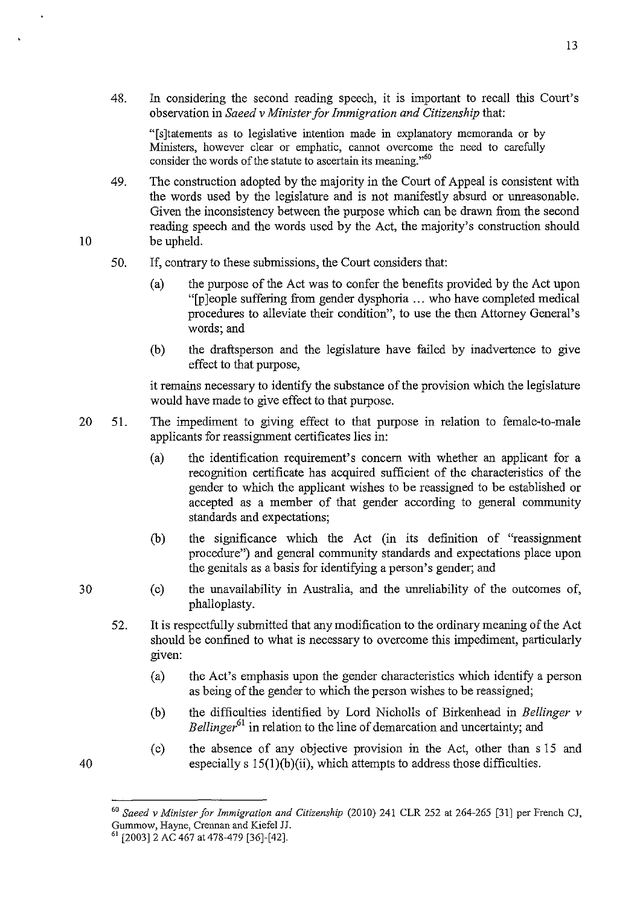48. In considering the second reading speech, it is important to recall this Court's observation in *Saeed* v *Minister for Immigration and Citizenship* that:

"[s]tatements as to legislative intention made in explanatory memoranda or by Ministers, however clear or emphatic, cannot overcome the need to carefully consider the words of the statute to ascertain its meaning."<sup>60</sup>

- 49. The construction adopted by the majority in the Court of Appeal is consistent with the words used by the legislature and is not manifestly absurd or unreasonable. Given the inconsistency between the purpose which can be drawn from the second reading speech and the words used by the Act, the majority's construction should be upheld.
- 50. If, contrary to these submissions, the Court considers that:
	- (a) the purpose of the Act was to confer the benefits provided by the Act upon "[p ]eop1e suffering from gender dysphoria ... who have completed medical procedures to alleviate their condition", to use the then Attorney General's words; and
	- (b) the draftsperson and the legislature have failed by inadvertence to give effect to that purpose,

it remains necessary to identify the substance of the provision which the legislature would have made to give effect to that purpose.

- 20 51. The impediment to giving effect to that purpose in relation to female-to-male applicants for reassignment certificates lies in:
	- (a) the identification requirement's concern with whether an applicant for a recognition certificate has acquired sufficient of the characteristics of the gender to which the applicant wishes to be reassigned to be established or accepted as a member of that gender according to general community standards and expectations;
	- (b) the significance which the Act (in its definition of "reassignment procedure") and general community standards and expectations place upon the genitals as a basis for identifying a person's gender; and
	- (c) the unavailability in Australia, and the unreliability of the outcomes of, phallopIasty.
	- 52. It is respectfully submitted that any modification to the ordinary meaning of the Act should be confined to what is necessary to overcome this impediment, particularly gIven:
		- (a) the Act's emphasis upon the gender characteristics which identify a person as being of the gender to which the person wishes to be reassigned;
		- (b) the difficulties identified by Lord Nicholls of Birkenhead in *Bellinger* v *Bellinger61* in relation to the line of demarcation and uncertainty; and
		- (c) the absence of any objective provision in the Act, other than s IS and especially s  $15(1)(b)(ii)$ , which attempts to address those difficulties.

10

30

<sup>60</sup>*Saeed* v *Minister for immigration and Citizenship* (2010) 241 CLR 252 at 264-265 [31] per French CJ, Gummow, Hayne, Crennan and Kiefel JJ.

<sup>6! [2003]2</sup> AC 467 at 478-479 [36]-[42].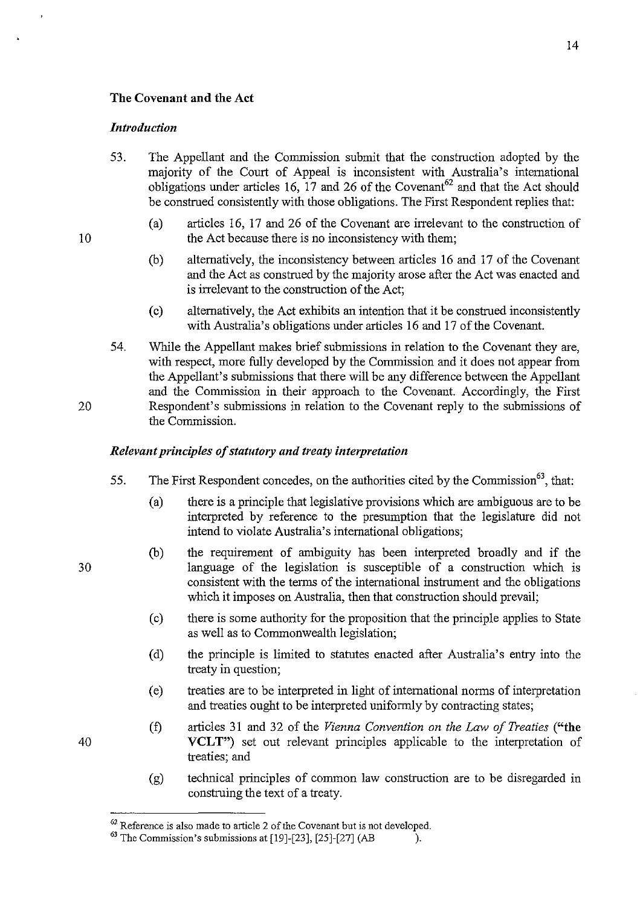### The Covenant and the Act

#### *Introduction*

- 53. The Appellant and the Commission submit that the construction adopted by the majority of the Court of Appeal is inconsistent with Australia's international obligations under articles 16,  $\overline{17}$  and 26 of the Covenant<sup>62</sup> and that the Act should be construed consistently with those obligations. The First Respondent replies that:
	- (a) articles 16, 17 and 26 of the Covenant are irrelevant to the construction of the Act because there is no inconsistency with them;
	- (b) alternatively, the inconsistency between articles 16 and 17 of the Covenant and the Act as construed by the majority arose after the Act was enacted and is irrelevant to the construction of the Act;
	- (c) alternatively, the Act exhibits an intention that it be construed inconsistently with Australia's obligations under articles 16 and 17 of the Covenant.
- 54. While the Appellant makes brief submissions in relation to the Covenant they are, with respect, more fully developed by the Commission and it does not appear from the Appellant's submissions that there will be any difference between the Appellant and the Commission in their approach to the Covenant. Accordingly, the First Respondent's submissions in relation to the Covenant reply to the submissions of the Commission.

# *Relevant principles of statutory and treaty interpretation*

- 55. The First Respondent concedes, on the authorities cited by the Commission<sup>63</sup>, that:
	- (a) there is a principle that legislative provisions which are ambiguous are to be interpreted by reference to the presumption that the legislature did not intend to violate Australia's international obligations;
	- (b) the requirement of ambiguity has been interpreted broadly and if the language of the legislation is susceptible of a construction which is consistent with the terms of the international instrument and the obligations which it imposes on Australia, then that construction should prevail;
	- (c) there is some authority for the proposition that the principle applies to State as well as to Commonwealth legislation;
	- (d) the principle is limited to statutes enacted after Australia's entry into the treaty in question;
	- (e) treaties are to be interpreted in light of international norms of interpretation and treaties ought to be interpreted uniformly by contracting states;
	- (t) articles 31 and 32 of the *Vienna Convention on the Law of Treaties* ("the VCLT") set out relevant principles applicable to the interpretation of treaties; and
	- (g) technical principles of common law construction are to be disregarded in construing the text of a treaty.

10

20

 $62$  Reference is also made to article 2 of the Covenant but is not developed.

 $<sup>63</sup>$  The Commission's submissions at [19]-[23], [25]-[27] (AB ).</sup>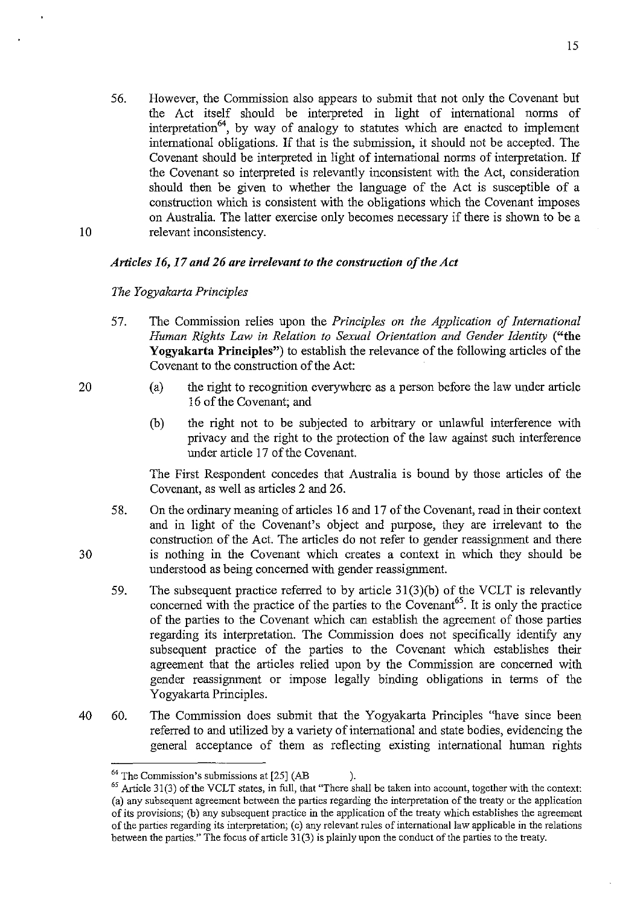56. However, the Commission also appears to submit that not only the Covenant but the Act itself should be interpreted in light of international norms of interpretation<sup>64</sup>, by way of analogy to statutes which are enacted to implement international obligations. If that is the submission, it should not be accepted. The Covenant should be interpreted in light of international norms of interpretation. If the Covenant so interpreted is relevantly inconsistent with the Act, consideration should then be given to whether the language of the Act is susceptible of a construction which is consistent with the obligations which the Covenant imposes on Australia. The latter exercise only becomes necessary if there is shown to be a relevant inconsistency.

### *Articles* 16, 17 *and* 26 *are irrelevant to the construction of the Act*

### *The Yogyakarta Principles*

- 57. The Commission relies upon the *Principles on the Application of International Human Rights Law in Relation to Sexual Orientation and Gender Identity* ("the Yogyakarta Principles") to establish the relevance of the following articles of the Covenant to the construction of the Act:
	- (a) the right to recognition everywhere as a person before the law under article 16 of the Covenant; and
	- (b) the right not to be subjected to arbitrary or unlawful interference with privacy and the right to the protection of the law against such interference under article 17 of the Covenant.

The First Respondent concedes that Australia is bound by those articles of the Covenant, as well as articles 2 and 26.

- 58. On the ordinary meaning of articles 16 and 17 of the Covenant, read in their context and in light of the Covenant's object and purpose, they are irrelevant to the construction of the Act. The articles do not refer to gender reassignment and there is nothing in the Covenant which creates a context in which they should be understood as being concerned with gender reassignment.
- 59. The subsequent practice referred to by article 3l(3)(b) of the VCLT is relevantly concerned with the practice of the parties to the Covenant<sup>65</sup>. It is only the practice of the parties to the Covenant which can establish the agreement of those parties regarding its interpretation. The Commission does not specifically identify any subsequent practice of the parties to the Covenant which establishes their agreement that the articles relied upon by the Commission are concerned with gender reassignment or impose legally binding obligations in terms of the Yogyakarta Principles.
- 40 60. The Commission does submit that the Yogyakarta Principles "have since been referred to and utilized by a variety of international and state bodies, evidencing the general acceptance of them as reflecting existing international human rights

30

10

 $64$  The Commission's submissions at  $[25]$  (AB ).

 $65$  Article 31(3) of the VCLT states, in full, that "There shall be taken into account, together with the context: (a) any subsequent agreement between the parties regarding the interpretation of the treaty or the application of its provisions; Cb) any subsequent practice in the application of the treaty which establishes the agreement of the parties regarding its interpretation; (c) any relevant rules of international law applicable in the relations between the parties." The focus of article 31(3) is plainly upon the conduct of the parties to the treaty.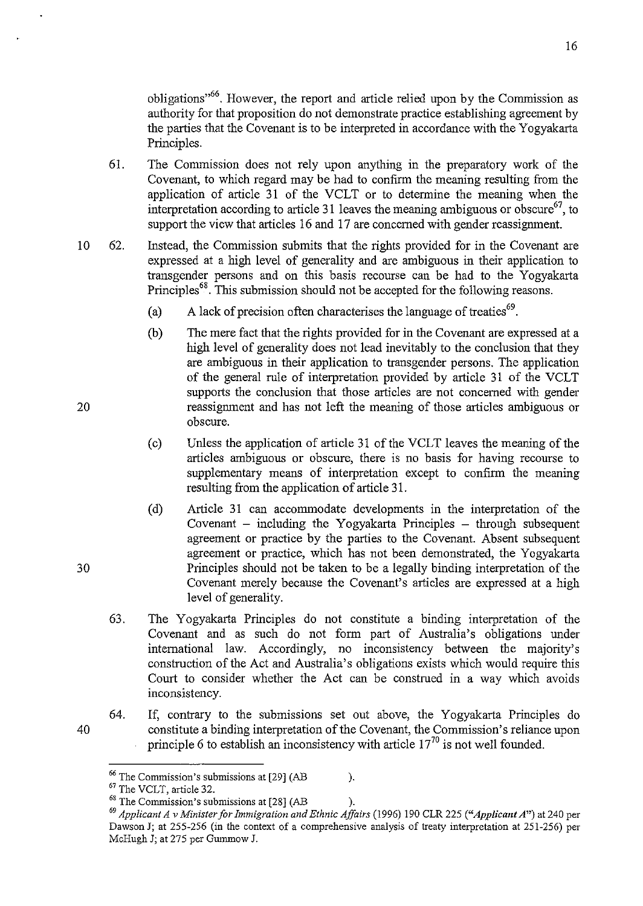obligations<sup>,66</sup>. However, the report and article relied upon by the Commission as authority for that proposition do not demonstrate practice establishing agreement by the parties that the Covenant is to be interpreted in accordance with the Yogyakarta Principles.

- 6l. The Connnission does not rely upon anything in the preparatory work of the Covenant, to which regard may be had to confirm the meaning resulting from the application of article 31 of the VCLT or to determine the meaning when the interpretation according to article 31 leaves the meaning ambiguous or obscure<sup>67</sup>, to support the view that articles 16 and 17 are concerned with gender reassignment.
- 10 62. Instead, the Connnission submits that the rights provided for in the Covenant are expressed at a high level of generality and are ambiguous in their application to transgender persons and on this basis recourse can be had to the Yogyakarta Principles<sup>68</sup>. This submission should not be accepted for the following reasons.
	- (a) A lack of precision often characterises the language of treaties<sup>69</sup>.
	- (b) The mere fact that the rights provided for in the Covenant are expressed at a high level of generality does not lead inevitably to the conclusion that they are ambiguous in their application to transgender persons. The application of the general rule of interpretation provided by article 31 of the VCLT supports the conclusion that those articles are not concerned with gender reassignment and has not left the meaning of those articles ambiguous or obscure.
	- (c) Unless the application of article 31 of the VCLT leaves the meaning of the articles ambiguous or obscure, there is no basis for having recourse to supplementary means of interpretation except to confirm the meaning resulting from the application of article 31.
	- (d) Article 31 can acconnnodate developments in the interpretation of the Covenant  $-$  including the Yogyakarta Principles  $-$  through subsequent agreement or practice by the parties to the Covenant. Absent subsequent agreement or practice, which has not been demonstrated, the Yogyakarta Principles should not be taken to be a legally binding interpretation of the Covenant merely because the Covenant's articles are expressed at a high level of generality.
	- 63. The Yogyakarta Principles do not constitute a binding interpretation of the Covenant and as such do not form part of Australia's obligations under international law. Accordingly, no inconsistency between the majority's construction of the Act and Australia's obligations exists which would require this Court to consider whether the Act can be construed in a way which avoids inconsistency.
	- 64. If, contrary to the submissions set out above, the Yogyakarta Principles do constitute a binding interpretation of the Covenant, the Commission's reliance upon principle 6 to establish an inconsistency with article  $17^{70}$  is not well founded.

20

30

 $66$  The Commission's submissions at  $[29]$  (AB ).

<sup>67</sup> The VCLT, article 32.

 $68$  The Commission's submissions at  $[28]$  (AB ).

*<sup>69</sup> Applicant A* v *Minister for Immigration and Ethnic Affairs* (1996) 190 CLR 225 *("Applicant A")* at 240 per Dawson J; at 255-256 (in the context of a comprehensive analysis of treaty interpretation at 251-256) per McHugh 1; at 275 per Gummow 1.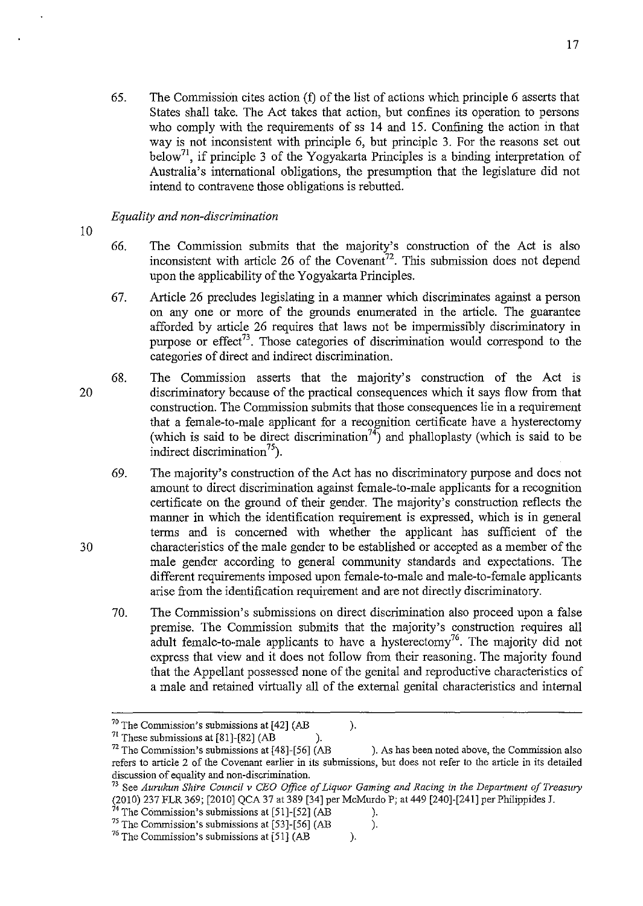65. The Commission cites action (t) of the list of actions which principle 6 asserts that States shall take. The Act takes that action, but confines its operation to persons who comply with the requirements of ss 14 and 15. Confining the action in that way is not inconsistent with principle 6, but principle 3. For the reasons set out below<sup>71</sup>, if principle 3 of the Yogyakarta Principles is a binding interpretation of Australia's international obligations, the presumption that the legislature did not intend to contravene those obligations is rebutted.

### *Equality and non-discrimination*

- 10
- 66. The Commission submits that the majority's construction of the Act is also inconsistent with article 26 of the Covenant<sup>72</sup>. This submission does not depend upon the applicability of the Yogyakarta Principles.
- 67. Article 26 precludes legislating in a manner which discriminates against a person on anyone or more of the grounds enumerated in the article. The guarantee afforded by article 26 requires that laws not be impermissibly discriminatory in purpose or effect<sup>73</sup>. Those categories of discrimination would correspond to the categories of direct and indirect discrimination.
- 68. The Commission asserts that the majority's construction of the Act is discriminatory because of the practical consequences which it says flow from that construction. The Commission submits that those consequences lie in a requirement that a female-to-male applicant for a recognition certificate have a hysterectomy (which is said to be direct discrimination<sup>74</sup>) and phalloplasty (which is said to be indirect discrimination<sup>75</sup>).
	- 69. The majority's construction of the Act has no discriminatory purpose and does not amount to direct discrimination against female-to-male applicants for a recognition certificate on the ground of their gender. The majority's construction reflects the manner in which the identification requirement is expressed, which is in general terms and is concerned with whether the applicant has sufficient of the characteristics of the male gender to be established or accepted as a member of the male gender according to general community standards and expectations. The different requirements imposed upon female-to-male and male-to-female applicants arise from the identification requirement and are not directly discriminatory.
	- 70. The Commission's submissions on direct discrimination also proceed upon a false premise. The Commission submits that the majority's construction requires all adult female-to-male applicants to have a hysterectomy<sup>76</sup>. The majority did not express that view and it does not follow from their reasoning. The majority found that the Appellant possessed none of the genital and reproductive characteristics of a male and retained virtually all of the external genital characteristics and internal

20

 $70$  The Commission's submissions at [42] (AB ).

<sup>&</sup>lt;sup>71</sup> These submissions at  $[81]$ - $[82]$  (AB ).

 $72$  The Commission's submissions at [48]-[56] (AB ). As has been noted above, the Commission also **refers to article 2 of the Covenant earlier in its submissions, but does not refer to the article in its detailed discussion of equality and non-discrimination.** 

<sup>&</sup>lt;sup>73</sup> See Aurukun Shire Council v *CEO Office of Liquor Gaming and Racing in the Department of Treasury* (2010) 237 FLR 369; [2010] QCA 37 at 389 [34] per McMurdo P; at 449 [240]-[241] perPhilippides J.

 $74$  The Commission's submissions at [51]-[52] (AB ).

 $^{75}$  The Commission's submissions at [53]-[56] (AB ).

 $76$  The Commission's submissions at [51] (AB ).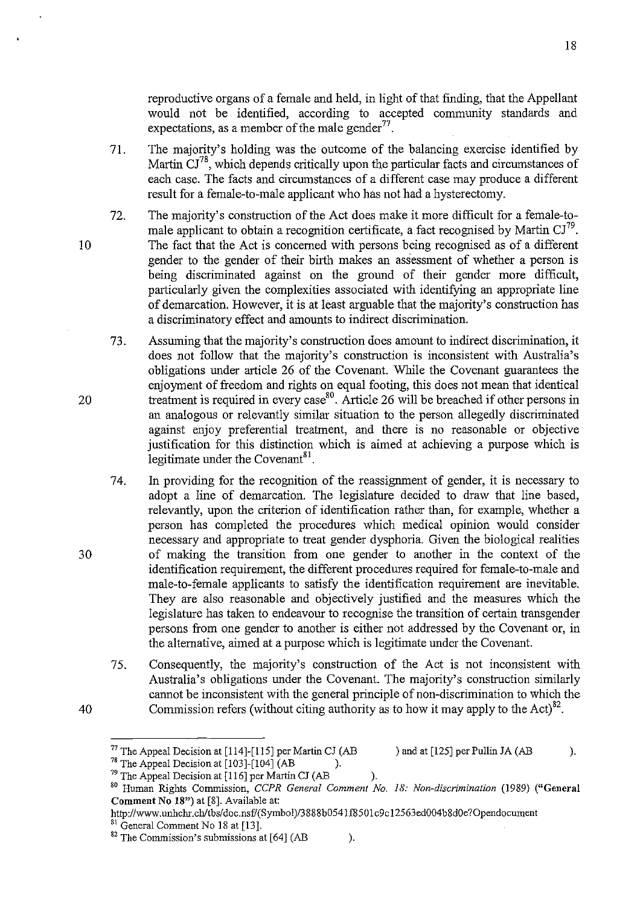reproductive organs of a female and held, in light of that finding, that the Appellant would not be identified, according to accepted community standards and expectations, as a member of the male gender $^{77}$ .

- 71. The majority's holding was the outcome of the balancing exercise identified by Martin  $\mathrm{CI}^{78}$ , which depends critically upon the particular facts and circumstances of each case. The facts and circumstances of a different case may produce a different result for a female-to-male applicant who has not had a hysterectomy.
- 72. The majority's construction of the Act does make it more difficult for a female-tomale applicant to obtain a recognition certificate, a fact recognised by Martin  $CI^{79}$ . The fact that the Act is concerned with persons being recognised as of a different gender to the gender of their birth makes an assessment of whether a person is being discriminated against on the ground of their gender more difficult, particularly given the complexities associated with identifying an appropriate line of demarcation. However, it is at least arguable that the majority's construction has a discriminatory effect and amounts to indirect discrimination.
- 73. Assuming that the majority's construction does amount to indirect discrimination, it does not follow that the majority's construction is inconsistent with Australia's obligations under article 26 of the Covenant. While the Covenant guarantees the enjoyment of freedom and rights on equal footing, this does not mean that identical treatment is required in every case <sup>80</sup> . Article 26 will be breached if other persons in an analogous or relevantly similar situation to the person allegedly discriminated against enjoy preferential treatment, and there is no reasonable or objective justification for this distinction which is aimed at achieving a purpose which is legitimate under the Covenant $^{81}$ .
- 74. In providing for the recognition of the reassignment of gender, it is necessary to adopt a line of demarcation. The legislature decided to draw that line based, relevantly, upon the criterion of identification rather than, for example, whether a person has completed the procedures which medical opinion would consider necessary and appropriate to treat gender dysphoria. Given the biological realities of making the transition from one gender to another in the context of the identification requirement, the different procedures required for female-to-male and male-to-female applicants to satisfy the identification requirement are inevitable. They are also reasonable and objectively justified and the measures which the legislature has taken to endeavour to recognise the transition of certain transgender persons from one gender to another is either not addressed by the Covenant or, in the alternative, aimed at a purpose which is legitimate under the Covenant.
- 75. Consequently, the majority's construction of the Act is not inconsistent with Australia's obligations under the Covenant. The majority's construction similarly cannot be inconsistent with the general principle of non-discrimination to which the Commission refers (without citing authority as to how it may apply to the Act) $^{82}$ .

10

20

30

<sup>&</sup>lt;sup>77</sup> The Appeal Decision at [114]-[115] per Martin CJ (AB ) and at [125] per Pullin JA (AB ).

<sup>&</sup>lt;sup>78</sup> The Appeal Decision at  $[103]$ - $[104]$  (AB ).

 $79$  The Appeal Decision at [116] per Martin CJ (AB ). 80 Human Rights Commission, *CCPR General Comment No.* 18: *Non-discrimination* (1989) ("General Comment No 18") at [8]. Available at:

http://www.unhchr.chltbs/doc.nsf/(Symbol)/3888b0541f8501c9cI2563ed004b8dOe?Opendocument <sup>81</sup> General Comment No 18 at [13].

 $82$  The Commission's submissions at [64] (AB ).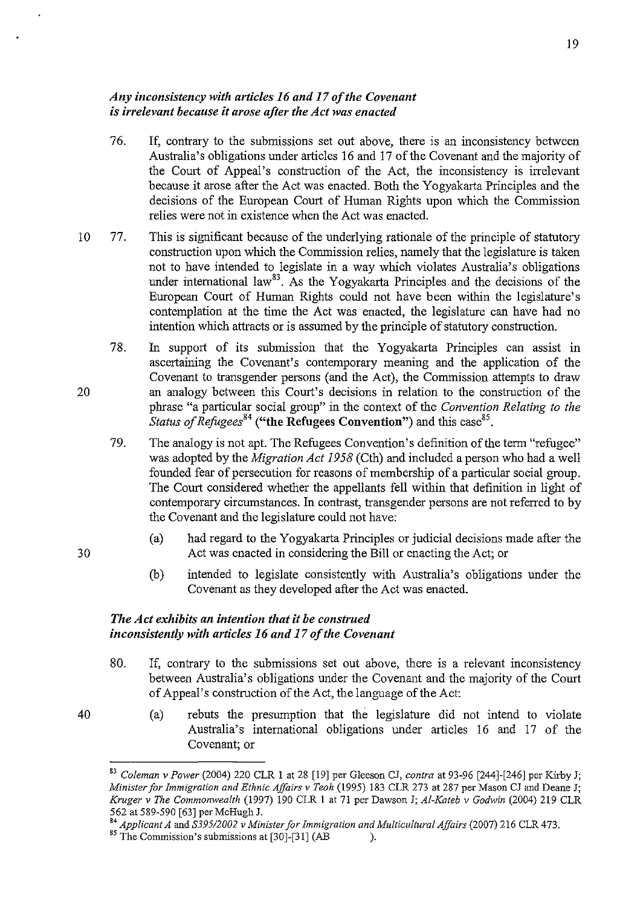### *Any inconsistency with articles* 16 *and* 17 *of the Covenant is irrelevant because it arose after the Act was enacted*

- 76. If, contrary to the submissions set out above, there is an inconsistency between Australia's obligations under articles 16 and 17 of the Covenant and the majority of the Court of Appeal's construction of the Act, the inconsistency is irrelevant because it arose after the Act was enacted. Both the Yogyakarta Principles and the decisions of the European Court of Human Rights upon which the Commission relies were not in existence when the Act was enacted.
- 10 77. This is significant because of the underlying rationale of the principle of statutory construction upon which the Commission relies, namely that the legislature is taken not to have intended to legislate in a way which violates Australia's obligations under international law<sup>83</sup>. As the Yogyakarta Principles and the decisions of the European Court of Human Rights could not have been within the legislature's contemplation at the time the Act was enacted, the legislature can have had no intention which attracts or is assumed by the principle of statutory construction.
	- 78. In support of its submission that the Yogyakarta Principles can assist in ascertaining the Covenant's contemporary meaning and the application of the Covenant to transgender persons (and the Act), the Commission attempts to draw an analogy between this Court's decisions in relation to the construction of the phrase "a particular social group" in the context of the *Convention Relating to the Status of Refugees*<sup>84</sup> ("the Refugees Convention") and this case<sup>85</sup>.
		- 79. The analogy is not apt. The Refugees Convention's definition of the term "refugee" was adopted by the *Migration Act* 1958 (Cth) and included a person who had a well founded fear of persecution for reasons of membership of a particular social group. The Court considered whether the appellants fell within that definition in light of contemporary circumstances. In contrast, transgender persons are not referred to by the Covenant and the legislature could not have:
			- (a) had regard to the Yogyakarta Principles or judicial decisions made after the Act was enacted in considering the Bill or enacting the Act; or
			- (b) intended to legislate consistently with Australia's obligations under the Covenant as they developed after the Act was enacted.

# *The Act exhibits an intention that it be construed inconsistently with articles* 16 *and* 17 *of the Covenant*

20

30

- 80. If, contrary to the submissions set out above, there is a relevant inconsistency between Australia's obligations under the Covenant and the majority of the Court of Appeal's construction of the Act, the language of the Act:
	- (a) rebuts the presumption that the legislature did not intend to violate Australia's international obligations under articles 16 and 17 of the Covenant; or

<sup>83</sup>*Coleman* v *Power* (2004) 220 CLR I at 28 [19] per Gleeson CJ, *contra* at 93-96 [244]-[246] per Kirby J; *Minister for Immigration and Ethnic Affairs* v *Teoh* (1995) 183 CLR 273 at 287 per Mason CJ and Deane J; *Kruger* v *The Commonwealth* (1997) 190 CLR I at 71 per Dawson J; *AI-Kateb* v *Godwin* (2004) 219 CLR 562 at 589-590 [63] per McHugh J.

*<sup>&#</sup>x27;4 Applicant A* and *S39512002* v *Minister for Immigration and Multicultural Affairs* (2007) 216 CLR 473.

 $^{85}$  The Commission's submissions at [30]-[31] (AB ).